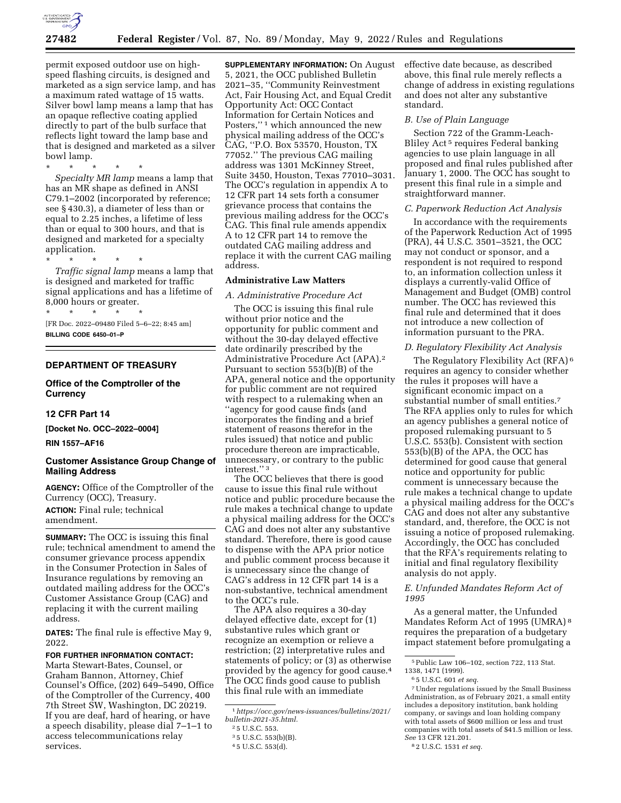

permit exposed outdoor use on highspeed flashing circuits, is designed and marketed as a sign service lamp, and has a maximum rated wattage of 15 watts. Silver bowl lamp means a lamp that has an opaque reflective coating applied directly to part of the bulb surface that reflects light toward the lamp base and that is designed and marketed as a silver bowl lamp.

\* \* \* \* \* *Specialty MR lamp* means a lamp that has an MR shape as defined in ANSI C79.1–2002 (incorporated by reference; see § 430.3), a diameter of less than or equal to 2.25 inches, a lifetime of less than or equal to 300 hours, and that is designed and marketed for a specialty application.

\* \* \* \* \* *Traffic signal lamp* means a lamp that is designed and marketed for traffic signal applications and has a lifetime of 8,000 hours or greater.

\* \* \* \* \* [FR Doc. 2022–09480 Filed 5–6–22; 8:45 am] **BILLING CODE 6450–01–P** 

# **DEPARTMENT OF TREASURY**

**Office of the Comptroller of the Currency** 

#### **12 CFR Part 14**

**[Docket No. OCC–2022–0004]** 

#### **RIN 1557–AF16**

### **Customer Assistance Group Change of Mailing Address**

**AGENCY:** Office of the Comptroller of the Currency (OCC), Treasury. **ACTION:** Final rule; technical amendment.

**SUMMARY:** The OCC is issuing this final rule; technical amendment to amend the consumer grievance process appendix in the Consumer Protection in Sales of Insurance regulations by removing an outdated mailing address for the OCC's Customer Assistance Group (CAG) and replacing it with the current mailing address.

**DATES:** The final rule is effective May 9, 2022.

# **FOR FURTHER INFORMATION CONTACT:**

Marta Stewart-Bates, Counsel, or Graham Bannon, Attorney, Chief Counsel's Office, (202) 649–5490, Office of the Comptroller of the Currency, 400 7th Street SW, Washington, DC 20219. If you are deaf, hard of hearing, or have a speech disability, please dial 7–1–1 to access telecommunications relay services.

**SUPPLEMENTARY INFORMATION:** On August 5, 2021, the OCC published Bulletin 2021–35, ''Community Reinvestment Act, Fair Housing Act, and Equal Credit Opportunity Act: OCC Contact Information for Certain Notices and Posters,"<sup>1</sup> which announced the new physical mailing address of the OCC's CAG, ''P.O. Box 53570, Houston, TX 77052.'' The previous CAG mailing address was 1301 McKinney Street, Suite 3450, Houston, Texas 77010–3031. The OCC's regulation in appendix A to 12 CFR part 14 sets forth a consumer grievance process that contains the previous mailing address for the OCC's CAG. This final rule amends appendix A to 12 CFR part 14 to remove the outdated CAG mailing address and replace it with the current CAG mailing address.

# **Administrative Law Matters**

*A. Administrative Procedure Act* 

The OCC is issuing this final rule without prior notice and the opportunity for public comment and without the 30-day delayed effective date ordinarily prescribed by the Administrative Procedure Act (APA).2 Pursuant to section 553(b)(B) of the APA, general notice and the opportunity for public comment are not required with respect to a rulemaking when an ''agency for good cause finds (and incorporates the finding and a brief statement of reasons therefor in the rules issued) that notice and public procedure thereon are impracticable, unnecessary, or contrary to the public interest.'' 3

The OCC believes that there is good cause to issue this final rule without notice and public procedure because the rule makes a technical change to update a physical mailing address for the OCC's CAG and does not alter any substantive standard. Therefore, there is good cause to dispense with the APA prior notice and public comment process because it is unnecessary since the change of CAG's address in 12 CFR part 14 is a non-substantive, technical amendment to the OCC's rule.

The APA also requires a 30-day delayed effective date, except for (1) substantive rules which grant or recognize an exemption or relieve a restriction; (2) interpretative rules and statements of policy; or (3) as otherwise provided by the agency for good cause.4 The OCC finds good cause to publish this final rule with an immediate

effective date because, as described above, this final rule merely reflects a change of address in existing regulations and does not alter any substantive standard.

#### *B. Use of Plain Language*

Section 722 of the Gramm-Leach-Bliley Act 5 requires Federal banking agencies to use plain language in all proposed and final rules published after January 1, 2000. The OCC has sought to present this final rule in a simple and straightforward manner.

#### *C. Paperwork Reduction Act Analysis*

In accordance with the requirements of the Paperwork Reduction Act of 1995 (PRA), 44 U.S.C. 3501–3521, the OCC may not conduct or sponsor, and a respondent is not required to respond to, an information collection unless it displays a currently-valid Office of Management and Budget (OMB) control number. The OCC has reviewed this final rule and determined that it does not introduce a new collection of information pursuant to the PRA.

#### *D. Regulatory Flexibility Act Analysis*

The Regulatory Flexibility Act (RFA) 6 requires an agency to consider whether the rules it proposes will have a significant economic impact on a substantial number of small entities.7 The RFA applies only to rules for which an agency publishes a general notice of proposed rulemaking pursuant to 5 U.S.C. 553(b). Consistent with section 553(b)(B) of the APA, the OCC has determined for good cause that general notice and opportunity for public comment is unnecessary because the rule makes a technical change to update a physical mailing address for the OCC's CAG and does not alter any substantive standard, and, therefore, the OCC is not issuing a notice of proposed rulemaking. Accordingly, the OCC has concluded that the RFA's requirements relating to initial and final regulatory flexibility analysis do not apply.

### *E. Unfunded Mandates Reform Act of 1995*

As a general matter, the Unfunded Mandates Reform Act of 1995 (UMRA) 8 requires the preparation of a budgetary impact statement before promulgating a

<sup>1</sup>*[https://occ.gov/news-issuances/bulletins/2021/](https://occ.gov/news-issuances/bulletins/2021/bulletin-2021-35.html)  [bulletin-2021-35.html.](https://occ.gov/news-issuances/bulletins/2021/bulletin-2021-35.html)* 

<sup>2</sup> 5 U.S.C. 553.

<sup>3</sup> 5 U.S.C. 553(b)(B).

<sup>4</sup> 5 U.S.C. 553(d).

<sup>5</sup>Public Law 106–102, section 722, 113 Stat.

<sup>1338, 1471 (1999).</sup> 

<sup>6</sup> 5 U.S.C. 601 *et seq.* 

<sup>7</sup>Under regulations issued by the Small Business Administration, as of February 2021, a small entity includes a depository institution, bank holding company, or savings and loan holding company with total assets of \$600 million or less and trust companies with total assets of \$41.5 million or less. *See* 13 CFR 121.201.

<sup>8</sup> 2 U.S.C. 1531 *et seq.*